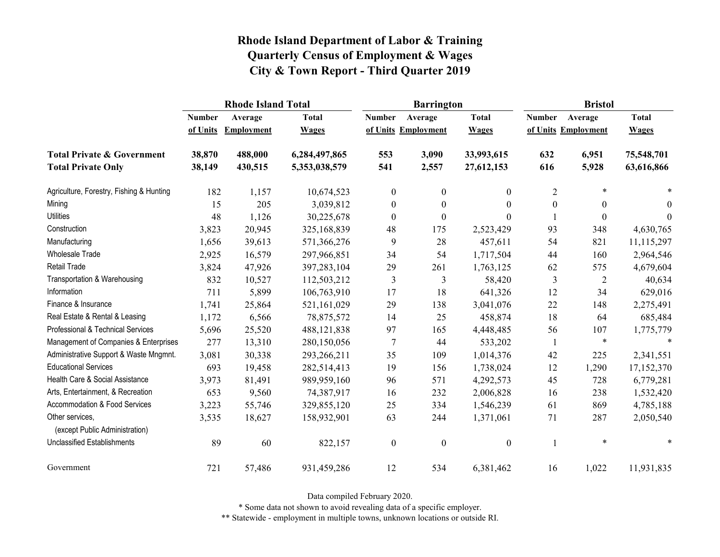|                                                   |               | <b>Rhode Island Total</b> |               |                  | <b>Barrington</b>   |                  | <b>Bristol</b>   |                     |                |
|---------------------------------------------------|---------------|---------------------------|---------------|------------------|---------------------|------------------|------------------|---------------------|----------------|
|                                                   | <b>Number</b> | Average                   | <b>Total</b>  | <b>Number</b>    | Average             | <b>Total</b>     | <b>Number</b>    | Average             | <b>Total</b>   |
|                                                   | of Units      | <b>Employment</b>         | <b>Wages</b>  |                  | of Units Employment | <b>Wages</b>     |                  | of Units Employment | <b>Wages</b>   |
| <b>Total Private &amp; Government</b>             | 38,870        | 488,000                   | 6,284,497,865 | 553              | 3,090               | 33,993,615       | 632              | 6,951               | 75,548,701     |
| <b>Total Private Only</b>                         | 38,149        | 430,515                   | 5,353,038,579 | 541              | 2,557               | 27,612,153       | 616              | 5,928               | 63,616,866     |
| Agriculture, Forestry, Fishing & Hunting          | 182           | 1,157                     | 10,674,523    | $\overline{0}$   | $\mathbf{0}$        | $\overline{0}$   | $\overline{2}$   | $\ast$              |                |
| Mining                                            | 15            | 205                       | 3,039,812     | $\boldsymbol{0}$ | $\boldsymbol{0}$    | $\theta$         | $\boldsymbol{0}$ | $\boldsymbol{0}$    | $\overline{0}$ |
| <b>Utilities</b>                                  | 48            | 1,126                     | 30,225,678    | $\boldsymbol{0}$ | $\mathbf{0}$        | $\Omega$         |                  | $\boldsymbol{0}$    | $\theta$       |
| Construction                                      | 3,823         | 20,945                    | 325,168,839   | 48               | 175                 | 2,523,429        | 93               | 348                 | 4,630,765      |
| Manufacturing                                     | 1,656         | 39,613                    | 571,366,276   | 9                | 28                  | 457,611          | 54               | 821                 | 11,115,297     |
| Wholesale Trade                                   | 2,925         | 16,579                    | 297,966,851   | 34               | 54                  | 1,717,504        | 44               | 160                 | 2,964,546      |
| <b>Retail Trade</b>                               | 3,824         | 47,926                    | 397,283,104   | 29               | 261                 | 1,763,125        | 62               | 575                 | 4,679,604      |
| Transportation & Warehousing                      | 832           | 10,527                    | 112,503,212   | 3                | 3                   | 58,420           | $\mathfrak{Z}$   | $\overline{2}$      | 40,634         |
| Information                                       | 711           | 5,899                     | 106,763,910   | 17               | 18                  | 641,326          | 12               | 34                  | 629,016        |
| Finance & Insurance                               | 1,741         | 25,864                    | 521,161,029   | 29               | 138                 | 3,041,076        | 22               | 148                 | 2,275,491      |
| Real Estate & Rental & Leasing                    | 1,172         | 6,566                     | 78,875,572    | 14               | 25                  | 458,874          | 18               | 64                  | 685,484        |
| Professional & Technical Services                 | 5,696         | 25,520                    | 488, 121, 838 | 97               | 165                 | 4,448,485        | 56               | 107                 | 1,775,779      |
| Management of Companies & Enterprises             | 277           | 13,310                    | 280,150,056   | 7                | 44                  | 533,202          | $\mathbf{1}$     | $\ast$              | $\ast$         |
| Administrative Support & Waste Mngmnt.            | 3,081         | 30,338                    | 293,266,211   | 35               | 109                 | 1,014,376        | 42               | 225                 | 2,341,551      |
| <b>Educational Services</b>                       | 693           | 19,458                    | 282,514,413   | 19               | 156                 | 1,738,024        | 12               | 1,290               | 17,152,370     |
| Health Care & Social Assistance                   | 3,973         | 81,491                    | 989,959,160   | 96               | 571                 | 4,292,573        | 45               | 728                 | 6,779,281      |
| Arts, Entertainment, & Recreation                 | 653           | 9,560                     | 74,387,917    | 16               | 232                 | 2,006,828        | 16               | 238                 | 1,532,420      |
| Accommodation & Food Services                     | 3,223         | 55,746                    | 329,855,120   | 25               | 334                 | 1,546,239        | 61               | 869                 | 4,785,188      |
| Other services,<br>(except Public Administration) | 3,535         | 18,627                    | 158,932,901   | 63               | 244                 | 1,371,061        | 71               | 287                 | 2,050,540      |
| <b>Unclassified Establishments</b>                | 89            | 60                        | 822,157       | $\boldsymbol{0}$ | $\boldsymbol{0}$    | $\boldsymbol{0}$ |                  | $\ast$              | $\ast$         |
| Government                                        | 721           | 57,486                    | 931,459,286   | 12               | 534                 | 6,381,462        | 16               | 1,022               | 11,931,835     |

Data compiled February 2020.

\* Some data not shown to avoid revealing data of a specific employer.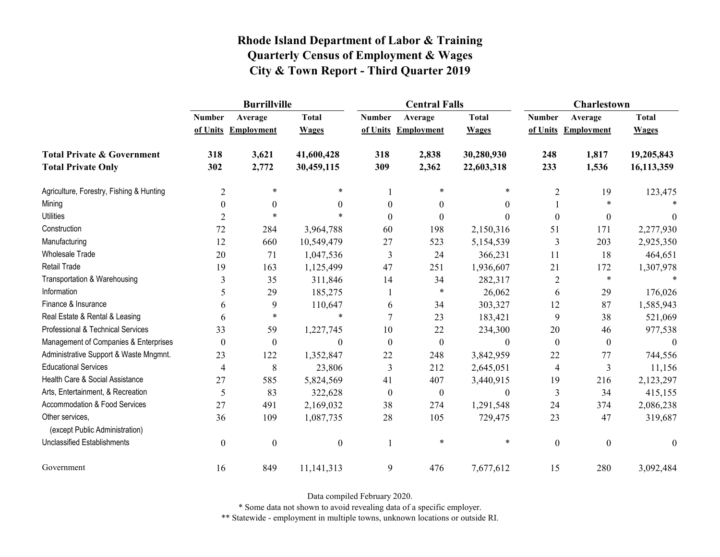|                                                   | <b>Burrillville</b> |                     |                  |                  | <b>Central Falls</b> |                  | Charlestown      |                     |              |
|---------------------------------------------------|---------------------|---------------------|------------------|------------------|----------------------|------------------|------------------|---------------------|--------------|
|                                                   | <b>Number</b>       | Average             | <b>Total</b>     | <b>Number</b>    | Average              | <b>Total</b>     | <b>Number</b>    | Average             | <b>Total</b> |
|                                                   |                     | of Units Employment | <b>Wages</b>     |                  | of Units Employment  | <b>Wages</b>     |                  | of Units Employment | <b>Wages</b> |
| <b>Total Private &amp; Government</b>             | 318                 | 3,621               | 41,600,428       | 318              | 2,838                | 30,280,930       | 248              | 1,817               | 19,205,843   |
| <b>Total Private Only</b>                         | 302                 | 2,772               | 30,459,115       | 309              | 2,362                | 22,603,318       | 233              | 1,536               | 16,113,359   |
| Agriculture, Forestry, Fishing & Hunting          | $\overline{2}$      | $\ast$              | $\ast$           |                  | $\ast$               | $\ast$           | $\overline{2}$   | 19                  | 123,475      |
| Mining                                            | $\boldsymbol{0}$    | $\boldsymbol{0}$    | $\mathbf{0}$     | $\theta$         | $\theta$             | $\boldsymbol{0}$ |                  |                     |              |
| <b>Utilities</b>                                  | $\overline{2}$      | $\ast$              | $\ast$           | $\Omega$         | $\Omega$             | $\theta$         | $\mathbf{0}$     | $\boldsymbol{0}$    | $\theta$     |
| Construction                                      | 72                  | 284                 | 3,964,788        | 60               | 198                  | 2,150,316        | 51               | 171                 | 2,277,930    |
| Manufacturing                                     | 12                  | 660                 | 10,549,479       | 27               | 523                  | 5,154,539        | 3                | 203                 | 2,925,350    |
| Wholesale Trade                                   | 20                  | 71                  | 1,047,536        | 3                | 24                   | 366,231          | 11               | 18                  | 464,651      |
| <b>Retail Trade</b>                               | 19                  | 163                 | 1,125,499        | 47               | 251                  | 1,936,607        | 21               | 172                 | 1,307,978    |
| Transportation & Warehousing                      | 3                   | 35                  | 311,846          | 14               | 34                   | 282,317          | $\overline{c}$   | $\ast$              |              |
| Information                                       | 5                   | 29                  | 185,275          |                  | $\ast$               | 26,062           | 6                | 29                  | 176,026      |
| Finance & Insurance                               | 6                   | 9                   | 110,647          | 6                | 34                   | 303,327          | 12               | 87                  | 1,585,943    |
| Real Estate & Rental & Leasing                    | 6                   | $\ast$              | $\ast$           | $\overline{7}$   | 23                   | 183,421          | 9                | 38                  | 521,069      |
| Professional & Technical Services                 | 33                  | 59                  | 1,227,745        | 10               | 22                   | 234,300          | 20               | 46                  | 977,538      |
| Management of Companies & Enterprises             | $\boldsymbol{0}$    | $\boldsymbol{0}$    | $\theta$         | $\mathbf{0}$     | $\boldsymbol{0}$     | $\boldsymbol{0}$ | $\boldsymbol{0}$ | $\boldsymbol{0}$    | $\theta$     |
| Administrative Support & Waste Mngmnt.            | 23                  | 122                 | 1,352,847        | 22               | 248                  | 3,842,959        | 22               | 77                  | 744,556      |
| <b>Educational Services</b>                       | $\overline{4}$      | 8                   | 23,806           | 3                | 212                  | 2,645,051        | 4                | 3                   | 11,156       |
| Health Care & Social Assistance                   | 27                  | 585                 | 5,824,569        | 41               | 407                  | 3,440,915        | 19               | 216                 | 2,123,297    |
| Arts, Entertainment, & Recreation                 | 5                   | 83                  | 322,628          | $\boldsymbol{0}$ | $\boldsymbol{0}$     | $\boldsymbol{0}$ | $\mathfrak{Z}$   | 34                  | 415,155      |
| Accommodation & Food Services                     | 27                  | 491                 | 2,169,032        | 38               | 274                  | 1,291,548        | 24               | 374                 | 2,086,238    |
| Other services,<br>(except Public Administration) | 36                  | 109                 | 1,087,735        | 28               | 105                  | 729,475          | 23               | 47                  | 319,687      |
| <b>Unclassified Establishments</b>                | $\boldsymbol{0}$    | $\boldsymbol{0}$    | $\boldsymbol{0}$ |                  | $\ast$               | $\ast$           | $\boldsymbol{0}$ | $\boldsymbol{0}$    | $\mathbf{0}$ |
| Government                                        | 16                  | 849                 | 11, 141, 313     | 9                | 476                  | 7,677,612        | 15               | 280                 | 3,092,484    |

Data compiled February 2020.

\* Some data not shown to avoid revealing data of a specific employer.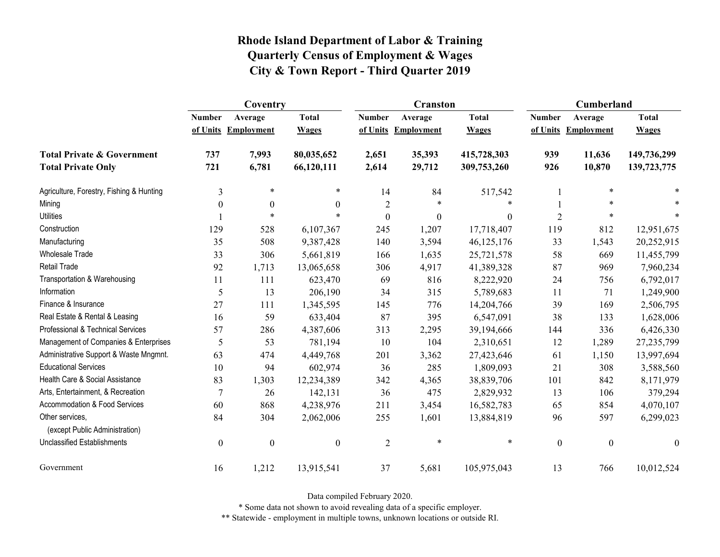|                                                   | Coventry         |                     |                  |                  | <b>Cranston</b>     |              | <b>Cumberland</b> |                     |                  |
|---------------------------------------------------|------------------|---------------------|------------------|------------------|---------------------|--------------|-------------------|---------------------|------------------|
|                                                   | <b>Number</b>    | Average             | <b>Total</b>     | <b>Number</b>    | Average             | <b>Total</b> | <b>Number</b>     | Average             | <b>Total</b>     |
|                                                   |                  | of Units Employment | <b>Wages</b>     |                  | of Units Employment | <b>Wages</b> |                   | of Units Employment | <b>Wages</b>     |
| <b>Total Private &amp; Government</b>             | 737              | 7,993               | 80,035,652       | 2,651            | 35,393              | 415,728,303  | 939               | 11,636              | 149,736,299      |
| <b>Total Private Only</b>                         | 721              | 6,781               | 66,120,111       | 2,614            | 29,712              | 309,753,260  | 926               | 10,870              | 139,723,775      |
| Agriculture, Forestry, Fishing & Hunting          | 3                | $\ast$              | $\ast$           | 14               | 84                  | 517,542      |                   | $\ast$              |                  |
| Mining                                            | $\theta$         | $\boldsymbol{0}$    | $\theta$         | $\overline{2}$   | *                   |              |                   |                     |                  |
| <b>Utilities</b>                                  |                  | $\ast$              | $\ast$           | $\boldsymbol{0}$ | $\boldsymbol{0}$    | $\theta$     | $\overline{2}$    | $\ast$              |                  |
| Construction                                      | 129              | 528                 | 6,107,367        | 245              | 1,207               | 17,718,407   | 119               | 812                 | 12,951,675       |
| Manufacturing                                     | 35               | 508                 | 9,387,428        | 140              | 3,594               | 46,125,176   | 33                | 1,543               | 20,252,915       |
| <b>Wholesale Trade</b>                            | 33               | 306                 | 5,661,819        | 166              | 1,635               | 25,721,578   | 58                | 669                 | 11,455,799       |
| Retail Trade                                      | 92               | 1,713               | 13,065,658       | 306              | 4,917               | 41,389,328   | 87                | 969                 | 7,960,234        |
| Transportation & Warehousing                      | 11               | 111                 | 623,470          | 69               | 816                 | 8,222,920    | 24                | 756                 | 6,792,017        |
| Information                                       | 5                | 13                  | 206,190          | 34               | 315                 | 5,789,683    | 11                | 71                  | 1,249,900        |
| Finance & Insurance                               | 27               | 111                 | 1,345,595        | 145              | 776                 | 14,204,766   | 39                | 169                 | 2,506,795        |
| Real Estate & Rental & Leasing                    | 16               | 59                  | 633,404          | 87               | 395                 | 6,547,091    | 38                | 133                 | 1,628,006        |
| Professional & Technical Services                 | 57               | 286                 | 4,387,606        | 313              | 2,295               | 39,194,666   | 144               | 336                 | 6,426,330        |
| Management of Companies & Enterprises             | 5                | 53                  | 781,194          | 10               | 104                 | 2,310,651    | 12                | 1,289               | 27, 235, 799     |
| Administrative Support & Waste Mngmnt.            | 63               | 474                 | 4,449,768        | 201              | 3,362               | 27,423,646   | 61                | 1,150               | 13,997,694       |
| <b>Educational Services</b>                       | 10               | 94                  | 602,974          | 36               | 285                 | 1,809,093    | 21                | 308                 | 3,588,560        |
| Health Care & Social Assistance                   | 83               | 1,303               | 12,234,389       | 342              | 4,365               | 38,839,706   | 101               | 842                 | 8,171,979        |
| Arts, Entertainment, & Recreation                 | 7                | 26                  | 142,131          | 36               | 475                 | 2,829,932    | 13                | 106                 | 379,294          |
| Accommodation & Food Services                     | 60               | 868                 | 4,238,976        | 211              | 3,454               | 16,582,783   | 65                | 854                 | 4,070,107        |
| Other services,<br>(except Public Administration) | 84               | 304                 | 2,062,006        | 255              | 1,601               | 13,884,819   | 96                | 597                 | 6,299,023        |
| <b>Unclassified Establishments</b>                | $\boldsymbol{0}$ | $\boldsymbol{0}$    | $\boldsymbol{0}$ | $\overline{2}$   | $\ast$              | $\ast$       | $\boldsymbol{0}$  | $\boldsymbol{0}$    | $\boldsymbol{0}$ |
| Government                                        | 16               | 1,212               | 13,915,541       | 37               | 5,681               | 105,975,043  | 13                | 766                 | 10,012,524       |

Data compiled February 2020.

\* Some data not shown to avoid revealing data of a specific employer.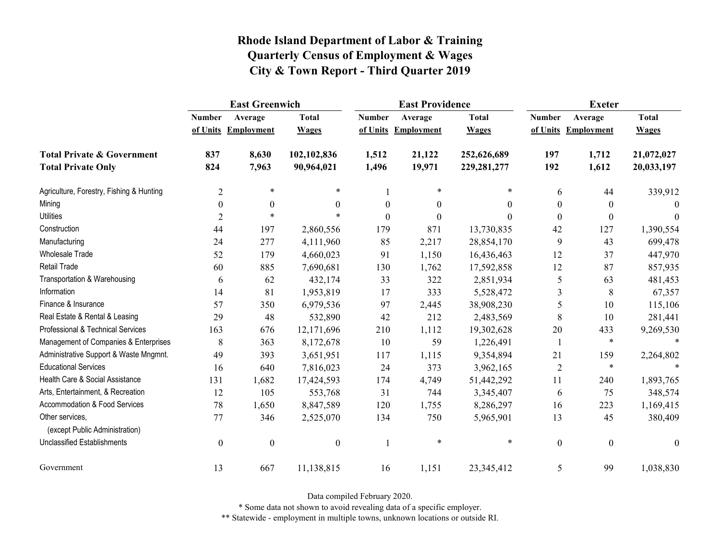|                                                   | <b>East Greenwich</b> |                     |                  |                  | <b>East Providence</b> |               | <b>Exeter</b>    |                     |              |
|---------------------------------------------------|-----------------------|---------------------|------------------|------------------|------------------------|---------------|------------------|---------------------|--------------|
|                                                   | <b>Number</b>         | Average             | <b>Total</b>     | <b>Number</b>    | Average                | <b>Total</b>  | <b>Number</b>    | Average             | <b>Total</b> |
|                                                   |                       | of Units Employment | <b>Wages</b>     |                  | of Units Employment    | <b>Wages</b>  |                  | of Units Employment | <b>Wages</b> |
| <b>Total Private &amp; Government</b>             | 837                   | 8,630               | 102,102,836      | 1,512            | 21,122                 | 252,626,689   | 197              | 1,712               | 21,072,027   |
| <b>Total Private Only</b>                         | 824                   | 7,963               | 90,964,021       | 1,496            | 19,971                 | 229, 281, 277 | 192              | 1,612               | 20,033,197   |
| Agriculture, Forestry, Fishing & Hunting          | $\overline{2}$        | $\ast$              | $\ast$           |                  | $\ast$                 | *             | 6                | 44                  | 339,912      |
| Mining                                            | $\boldsymbol{0}$      | $\boldsymbol{0}$    | $\theta$         | $\boldsymbol{0}$ | $\boldsymbol{0}$       | $\theta$      | $\boldsymbol{0}$ | $\theta$            | $\Omega$     |
| <b>Utilities</b>                                  | $\overline{2}$        | $\ast$              |                  | $\theta$         | $\boldsymbol{0}$       | $\Omega$      | $\mathbf{0}$     | $\theta$            | $\theta$     |
| Construction                                      | 44                    | 197                 | 2,860,556        | 179              | 871                    | 13,730,835    | 42               | 127                 | 1,390,554    |
| Manufacturing                                     | 24                    | 277                 | 4,111,960        | 85               | 2,217                  | 28,854,170    | 9                | 43                  | 699,478      |
| <b>Wholesale Trade</b>                            | 52                    | 179                 | 4,660,023        | 91               | 1,150                  | 16,436,463    | 12               | 37                  | 447,970      |
| <b>Retail Trade</b>                               | 60                    | 885                 | 7,690,681        | 130              | 1,762                  | 17,592,858    | 12               | 87                  | 857,935      |
| Transportation & Warehousing                      | 6                     | 62                  | 432,174          | 33               | 322                    | 2,851,934     | 5                | 63                  | 481,453      |
| Information                                       | 14                    | 81                  | 1,953,819        | 17               | 333                    | 5,528,472     | 3                | $\,8\,$             | 67,357       |
| Finance & Insurance                               | 57                    | 350                 | 6,979,536        | 97               | 2,445                  | 38,908,230    | 5                | 10                  | 115,106      |
| Real Estate & Rental & Leasing                    | 29                    | 48                  | 532,890          | 42               | 212                    | 2,483,569     | 8                | 10                  | 281,441      |
| Professional & Technical Services                 | 163                   | 676                 | 12,171,696       | 210              | 1,112                  | 19,302,628    | 20               | 433                 | 9,269,530    |
| Management of Companies & Enterprises             | 8                     | 363                 | 8,172,678        | 10               | 59                     | 1,226,491     |                  | $\ast$              | $\ast$       |
| Administrative Support & Waste Mngmnt.            | 49                    | 393                 | 3,651,951        | 117              | 1,115                  | 9,354,894     | 21               | 159                 | 2,264,802    |
| <b>Educational Services</b>                       | 16                    | 640                 | 7,816,023        | 24               | 373                    | 3,962,165     | $\overline{2}$   | $\ast$              |              |
| Health Care & Social Assistance                   | 131                   | 1,682               | 17,424,593       | 174              | 4,749                  | 51,442,292    | 11               | 240                 | 1,893,765    |
| Arts, Entertainment, & Recreation                 | 12                    | 105                 | 553,768          | 31               | 744                    | 3,345,407     | 6                | 75                  | 348,574      |
| Accommodation & Food Services                     | 78                    | 1,650               | 8,847,589        | 120              | 1,755                  | 8,286,297     | 16               | 223                 | 1,169,415    |
| Other services,<br>(except Public Administration) | 77                    | 346                 | 2,525,070        | 134              | 750                    | 5,965,901     | 13               | 45                  | 380,409      |
| <b>Unclassified Establishments</b>                | $\boldsymbol{0}$      | $\boldsymbol{0}$    | $\boldsymbol{0}$ | 1                | $\ast$                 | $\ast$        | $\boldsymbol{0}$ | $\boldsymbol{0}$    | $\theta$     |
| Government                                        | 13                    | 667                 | 11,138,815       | 16               | 1,151                  | 23,345,412    | 5                | 99                  | 1,038,830    |

Data compiled February 2020.

\* Some data not shown to avoid revealing data of a specific employer.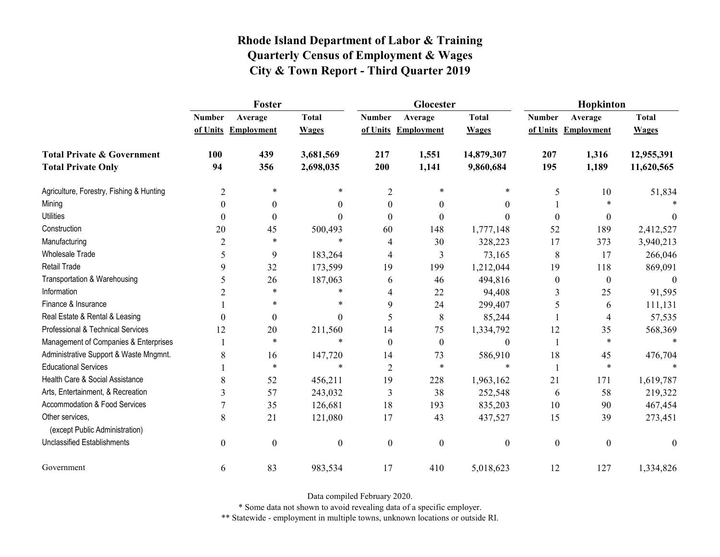|                                                   | Foster           |                     |                  |                  | Glocester           |                  | Hopkinton        |                     |              |
|---------------------------------------------------|------------------|---------------------|------------------|------------------|---------------------|------------------|------------------|---------------------|--------------|
|                                                   | <b>Number</b>    | Average             | <b>Total</b>     | <b>Number</b>    | Average             | <b>Total</b>     | <b>Number</b>    | Average             | <b>Total</b> |
|                                                   |                  | of Units Employment | <b>Wages</b>     |                  | of Units Employment | <b>Wages</b>     |                  | of Units Employment | <b>Wages</b> |
| <b>Total Private &amp; Government</b>             | 100              | 439                 | 3,681,569        | 217              | 1,551               | 14,879,307       | 207              | 1,316               | 12,955,391   |
| <b>Total Private Only</b>                         | 94               | 356                 | 2,698,035        | 200              | 1,141               | 9,860,684        | 195              | 1,189               | 11,620,565   |
| Agriculture, Forestry, Fishing & Hunting          | $\overline{2}$   | $\ast$              | *                | $\overline{2}$   | $\ast$              | *                | 5                | 10                  | 51,834       |
| Mining                                            | $\theta$         | $\boldsymbol{0}$    | $\theta$         | $\theta$         | $\theta$            | $\theta$         |                  | $\ast$              |              |
| <b>Utilities</b>                                  | $\boldsymbol{0}$ | $\boldsymbol{0}$    | $\Omega$         | $\theta$         | $\theta$            | $\theta$         | $\mathbf{0}$     | $\boldsymbol{0}$    | $\theta$     |
| Construction                                      | 20               | 45                  | 500,493          | 60               | 148                 | 1,777,148        | 52               | 189                 | 2,412,527    |
| Manufacturing                                     | 2                | $\ast$              | $\ast$           | 4                | 30                  | 328,223          | 17               | 373                 | 3,940,213    |
| <b>Wholesale Trade</b>                            | 5                | 9                   | 183,264          | 4                | 3                   | 73,165           | $8\,$            | 17                  | 266,046      |
| <b>Retail Trade</b>                               | 9                | 32                  | 173,599          | 19               | 199                 | 1,212,044        | 19               | 118                 | 869,091      |
| Transportation & Warehousing                      | 5                | 26                  | 187,063          | 6                | 46                  | 494,816          | $\boldsymbol{0}$ | $\boldsymbol{0}$    | $\theta$     |
| Information                                       | $\overline{2}$   | $\ast$              | $\ast$           | 4                | 22                  | 94,408           | 3                | 25                  | 91,595       |
| Finance & Insurance                               |                  | *                   | *                | 9                | 24                  | 299,407          | 5                | 6                   | 111,131      |
| Real Estate & Rental & Leasing                    | $\theta$         | $\boldsymbol{0}$    | $\Omega$         | 5                | 8                   | 85,244           |                  | 4                   | 57,535       |
| Professional & Technical Services                 | 12               | 20                  | 211,560          | 14               | 75                  | 1,334,792        | 12               | 35                  | 568,369      |
| Management of Companies & Enterprises             |                  | $\ast$              | $\ast$           | $\Omega$         | $\theta$            | $\boldsymbol{0}$ | $\mathbf{1}$     | $\ast$              | $\ast$       |
| Administrative Support & Waste Mngmnt.            | 8                | 16                  | 147,720          | 14               | 73                  | 586,910          | 18               | 45                  | 476,704      |
| <b>Educational Services</b>                       |                  | $\ast$              | $\ast$           | $\overline{2}$   | *                   | *                | $\mathbf{1}$     | $\ast$              |              |
| Health Care & Social Assistance                   | 8                | 52                  | 456,211          | 19               | 228                 | 1,963,162        | 21               | 171                 | 1,619,787    |
| Arts, Entertainment, & Recreation                 | 3                | 57                  | 243,032          | 3                | 38                  | 252,548          | 6                | 58                  | 219,322      |
| Accommodation & Food Services                     |                  | 35                  | 126,681          | 18               | 193                 | 835,203          | 10               | 90                  | 467,454      |
| Other services,<br>(except Public Administration) | 8                | 21                  | 121,080          | 17               | 43                  | 437,527          | 15               | 39                  | 273,451      |
| <b>Unclassified Establishments</b>                | $\boldsymbol{0}$ | $\boldsymbol{0}$    | $\boldsymbol{0}$ | $\boldsymbol{0}$ | $\mathbf{0}$        | $\boldsymbol{0}$ | $\boldsymbol{0}$ | $\boldsymbol{0}$    | $\mathbf{0}$ |
| Government                                        | 6                | 83                  | 983,534          | 17               | 410                 | 5,018,623        | 12               | 127                 | 1,334,826    |

Data compiled February 2020.

\* Some data not shown to avoid revealing data of a specific employer.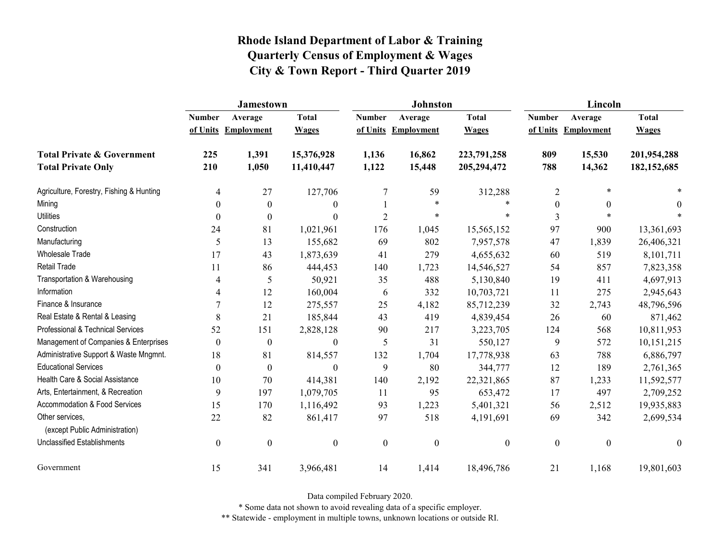|                                                   | <b>Jamestown</b> |                     |                  |                  | <b>Johnston</b>     |                  | Lincoln          |                     |               |
|---------------------------------------------------|------------------|---------------------|------------------|------------------|---------------------|------------------|------------------|---------------------|---------------|
|                                                   | <b>Number</b>    | Average             | <b>Total</b>     | <b>Number</b>    | Average             | <b>Total</b>     | <b>Number</b>    | Average             | <b>Total</b>  |
|                                                   |                  | of Units Employment | <b>Wages</b>     |                  | of Units Employment | <b>Wages</b>     |                  | of Units Employment | <b>Wages</b>  |
| <b>Total Private &amp; Government</b>             | 225              | 1,391               | 15,376,928       | 1,136            | 16,862              | 223,791,258      | 809              | 15,530              | 201,954,288   |
| <b>Total Private Only</b>                         | 210              | 1,050               | 11,410,447       | 1,122            | 15,448              | 205,294,472      | 788              | 14,362              | 182, 152, 685 |
| Agriculture, Forestry, Fishing & Hunting          | 4                | 27                  | 127,706          | $\tau$           | 59                  | 312,288          | $\overline{2}$   |                     |               |
| Mining                                            | $\theta$         | $\theta$            | $\overline{0}$   |                  | $\ast$              | $\ast$           | $\theta$         | $\theta$            | $\theta$      |
| <b>Utilities</b>                                  | $\theta$         | $\boldsymbol{0}$    | $\boldsymbol{0}$ | $\overline{2}$   | $\ast$              | $\ast$           | $\overline{3}$   |                     |               |
| Construction                                      | 24               | 81                  | 1,021,961        | 176              | 1,045               | 15,565,152       | 97               | 900                 | 13,361,693    |
| Manufacturing                                     | 5                | 13                  | 155,682          | 69               | 802                 | 7,957,578        | 47               | 1,839               | 26,406,321    |
| <b>Wholesale Trade</b>                            | 17               | 43                  | 1,873,639        | 41               | 279                 | 4,655,632        | 60               | 519                 | 8,101,711     |
| Retail Trade                                      | 11               | 86                  | 444,453          | 140              | 1,723               | 14,546,527       | 54               | 857                 | 7,823,358     |
| Transportation & Warehousing                      | 4                | 5                   | 50,921           | 35               | 488                 | 5,130,840        | 19               | 411                 | 4,697,913     |
| Information                                       | 4                | 12                  | 160,004          | 6                | 332                 | 10,703,721       | 11               | 275                 | 2,945,643     |
| Finance & Insurance                               | 7                | 12                  | 275,557          | 25               | 4,182               | 85,712,239       | 32               | 2,743               | 48,796,596    |
| Real Estate & Rental & Leasing                    | 8                | 21                  | 185,844          | 43               | 419                 | 4,839,454        | 26               | 60                  | 871,462       |
| Professional & Technical Services                 | 52               | 151                 | 2,828,128        | 90               | 217                 | 3,223,705        | 124              | 568                 | 10,811,953    |
| Management of Companies & Enterprises             | $\mathbf{0}$     | $\boldsymbol{0}$    | $\boldsymbol{0}$ | 5                | 31                  | 550,127          | 9                | 572                 | 10,151,215    |
| Administrative Support & Waste Mngmnt.            | 18               | 81                  | 814,557          | 132              | 1,704               | 17,778,938       | 63               | 788                 | 6,886,797     |
| <b>Educational Services</b>                       | $\theta$         | $\boldsymbol{0}$    | $\boldsymbol{0}$ | 9                | 80                  | 344,777          | 12               | 189                 | 2,761,365     |
| Health Care & Social Assistance                   | 10               | 70                  | 414,381          | 140              | 2,192               | 22,321,865       | 87               | 1,233               | 11,592,577    |
| Arts, Entertainment, & Recreation                 | 9                | 197                 | 1,079,705        | 11               | 95                  | 653,472          | 17               | 497                 | 2,709,252     |
| Accommodation & Food Services                     | 15               | 170                 | 1,116,492        | 93               | 1,223               | 5,401,321        | 56               | 2,512               | 19,935,883    |
| Other services,<br>(except Public Administration) | 22               | 82                  | 861,417          | 97               | 518                 | 4,191,691        | 69               | 342                 | 2,699,534     |
| <b>Unclassified Establishments</b>                | $\boldsymbol{0}$ | $\boldsymbol{0}$    | $\boldsymbol{0}$ | $\boldsymbol{0}$ | $\boldsymbol{0}$    | $\boldsymbol{0}$ | $\boldsymbol{0}$ | $\mathbf{0}$        | $\theta$      |
| Government                                        | 15               | 341                 | 3,966,481        | 14               | 1,414               | 18,496,786       | 21               | 1,168               | 19,801,603    |

Data compiled February 2020.

\* Some data not shown to avoid revealing data of a specific employer.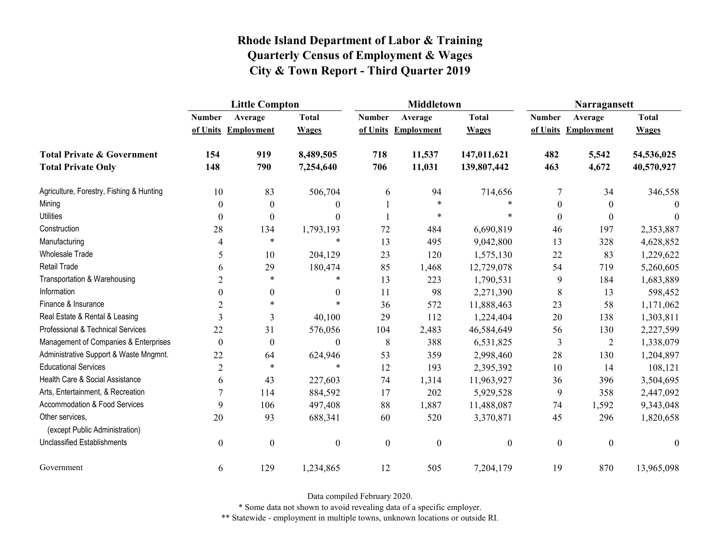|                                                   | <b>Little Compton</b> |                     |                  |                  | <b>Middletown</b>   |                  | Narragansett     |                     |              |
|---------------------------------------------------|-----------------------|---------------------|------------------|------------------|---------------------|------------------|------------------|---------------------|--------------|
|                                                   | <b>Number</b>         | Average             | <b>Total</b>     | <b>Number</b>    | Average             | <b>Total</b>     | <b>Number</b>    | Average             | <b>Total</b> |
|                                                   |                       | of Units Employment | <b>Wages</b>     |                  | of Units Employment | <b>Wages</b>     |                  | of Units Employment | <b>Wages</b> |
| <b>Total Private &amp; Government</b>             | 154                   | 919                 | 8,489,505        | 718              | 11,537              | 147,011,621      | 482              | 5,542               | 54,536,025   |
| <b>Total Private Only</b>                         | 148                   | 790                 | 7,254,640        | 706              | 11,031              | 139,807,442      | 463              | 4,672               | 40,570,927   |
| Agriculture, Forestry, Fishing & Hunting          | $10\,$                | 83                  | 506,704          | 6                | 94                  | 714,656          | $\overline{7}$   | 34                  | 346,558      |
| Mining                                            | $\theta$              | $\theta$            | $\theta$         |                  | $\ast$              |                  | $\boldsymbol{0}$ | $\theta$            | $\Omega$     |
| <b>Utilities</b>                                  | $\boldsymbol{0}$      | $\boldsymbol{0}$    | $\theta$         |                  | $\ast$              | $\ast$           | $\boldsymbol{0}$ | $\theta$            | $\theta$     |
| Construction                                      | 28                    | 134                 | 1,793,193        | 72               | 484                 | 6,690,819        | 46               | 197                 | 2,353,887    |
| Manufacturing                                     | 4                     | $\ast$              | $\ast$           | 13               | 495                 | 9,042,800        | 13               | 328                 | 4,628,852    |
| <b>Wholesale Trade</b>                            | 5                     | 10                  | 204,129          | 23               | 120                 | 1,575,130        | $22\,$           | 83                  | 1,229,622    |
| <b>Retail Trade</b>                               | 6                     | 29                  | 180,474          | 85               | 1,468               | 12,729,078       | 54               | 719                 | 5,260,605    |
| Transportation & Warehousing                      | $\overline{2}$        | $\ast$              | *                | 13               | 223                 | 1,790,531        | 9                | 184                 | 1,683,889    |
| Information                                       | $\mathbf{0}$          | $\boldsymbol{0}$    | $\boldsymbol{0}$ | 11               | 98                  | 2,271,390        | $\,$ 8 $\,$      | 13                  | 598,452      |
| Finance & Insurance                               | $\overline{2}$        | $\ast$              |                  | 36               | 572                 | 11,888,463       | 23               | 58                  | 1,171,062    |
| Real Estate & Rental & Leasing                    | 3                     | 3                   | 40,100           | 29               | 112                 | 1,224,404        | 20               | 138                 | 1,303,811    |
| Professional & Technical Services                 | 22                    | 31                  | 576,056          | 104              | 2,483               | 46,584,649       | 56               | 130                 | 2,227,599    |
| Management of Companies & Enterprises             | $\boldsymbol{0}$      | $\boldsymbol{0}$    | $\theta$         | 8                | 388                 | 6,531,825        | 3                | $\overline{2}$      | 1,338,079    |
| Administrative Support & Waste Mngmnt.            | 22                    | 64                  | 624,946          | 53               | 359                 | 2,998,460        | 28               | 130                 | 1,204,897    |
| <b>Educational Services</b>                       | $\overline{2}$        | $\ast$              | $\ast$           | 12               | 193                 | 2,395,392        | 10               | 14                  | 108,121      |
| Health Care & Social Assistance                   | 6                     | 43                  | 227,603          | 74               | 1,314               | 11,963,927       | 36               | 396                 | 3,504,695    |
| Arts, Entertainment, & Recreation                 | $\overline{7}$        | 114                 | 884,592          | 17               | 202                 | 5,929,528        | 9                | 358                 | 2,447,092    |
| Accommodation & Food Services                     | 9                     | 106                 | 497,408          | 88               | 1,887               | 11,488,087       | 74               | 1,592               | 9,343,048    |
| Other services,<br>(except Public Administration) | 20                    | 93                  | 688,341          | 60               | 520                 | 3,370,871        | 45               | 296                 | 1,820,658    |
| <b>Unclassified Establishments</b>                | $\boldsymbol{0}$      | $\boldsymbol{0}$    | $\boldsymbol{0}$ | $\boldsymbol{0}$ | $\boldsymbol{0}$    | $\boldsymbol{0}$ | $\boldsymbol{0}$ | $\boldsymbol{0}$    | $\theta$     |
| Government                                        | 6                     | 129                 | 1,234,865        | 12               | 505                 | 7,204,179        | 19               | 870                 | 13,965,098   |

Data compiled February 2020.

\* Some data not shown to avoid revealing data of a specific employer.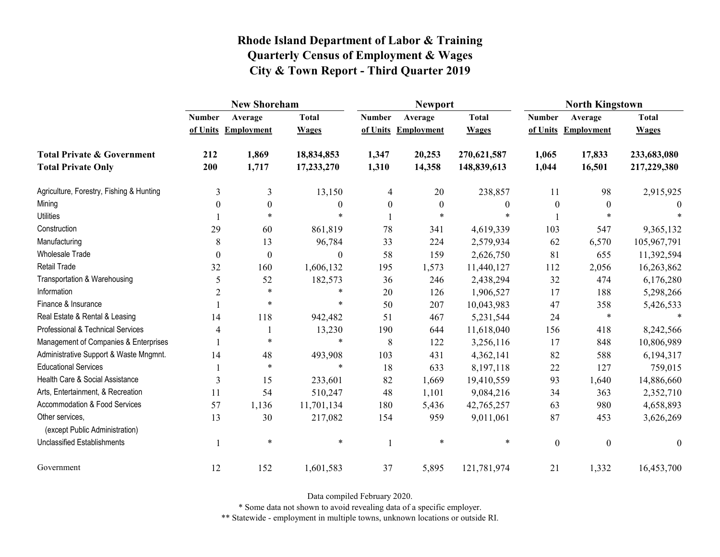|                                                   | <b>New Shoreham</b> |                     |              |               | <b>Newport</b>      |              | <b>North Kingstown</b> |                     |                  |
|---------------------------------------------------|---------------------|---------------------|--------------|---------------|---------------------|--------------|------------------------|---------------------|------------------|
|                                                   | <b>Number</b>       | Average             | <b>Total</b> | <b>Number</b> | Average             | <b>Total</b> | <b>Number</b>          | Average             | <b>Total</b>     |
|                                                   |                     | of Units Employment | <b>Wages</b> |               | of Units Employment | <b>Wages</b> |                        | of Units Employment | <b>Wages</b>     |
| <b>Total Private &amp; Government</b>             | 212                 | 1,869               | 18,834,853   | 1,347         | 20,253              | 270,621,587  | 1,065                  | 17,833              | 233,683,080      |
| <b>Total Private Only</b>                         | 200                 | 1,717               | 17,233,270   | 1,310         | 14,358              | 148,839,613  | 1,044                  | 16,501              | 217,229,380      |
| Agriculture, Forestry, Fishing & Hunting          | 3                   | 3                   | 13,150       | 4             | 20                  | 238,857      | 11                     | 98                  | 2,915,925        |
| Mining                                            | 0                   | $\theta$            | 0            | $\theta$      | $\theta$            | $\theta$     | $\theta$               | $\theta$            |                  |
| <b>Utilities</b>                                  |                     | $\ast$              | $\ast$       |               | $\ast$              |              |                        | $\ast$              |                  |
| Construction                                      | 29                  | 60                  | 861,819      | 78            | 341                 | 4,619,339    | 103                    | 547                 | 9,365,132        |
| Manufacturing                                     | 8                   | 13                  | 96,784       | 33            | 224                 | 2,579,934    | 62                     | 6,570               | 105,967,791      |
| <b>Wholesale Trade</b>                            | $\boldsymbol{0}$    | $\boldsymbol{0}$    | 0            | 58            | 159                 | 2,626,750    | 81                     | 655                 | 11,392,594       |
| Retail Trade                                      | 32                  | 160                 | 1,606,132    | 195           | 1,573               | 11,440,127   | 112                    | 2,056               | 16,263,862       |
| Transportation & Warehousing                      | 5                   | 52                  | 182,573      | 36            | 246                 | 2,438,294    | 32                     | 474                 | 6,176,280        |
| Information                                       | $\overline{2}$      | $\ast$              | *            | 20            | 126                 | 1,906,527    | 17                     | 188                 | 5,298,266        |
| Finance & Insurance                               |                     | $\ast$              | $\ast$       | 50            | 207                 | 10,043,983   | 47                     | 358                 | 5,426,533        |
| Real Estate & Rental & Leasing                    | 14                  | 118                 | 942,482      | 51            | 467                 | 5,231,544    | 24                     | $\ast$              |                  |
| Professional & Technical Services                 | 4                   |                     | 13,230       | 190           | 644                 | 11,618,040   | 156                    | 418                 | 8,242,566        |
| Management of Companies & Enterprises             |                     | $\ast$              | $\ast$       | 8             | 122                 | 3,256,116    | 17                     | 848                 | 10,806,989       |
| Administrative Support & Waste Mngmnt.            | 14                  | 48                  | 493,908      | 103           | 431                 | 4,362,141    | 82                     | 588                 | 6,194,317        |
| <b>Educational Services</b>                       |                     | $\ast$              | $\ast$       | 18            | 633                 | 8,197,118    | 22                     | 127                 | 759,015          |
| Health Care & Social Assistance                   | $\overline{3}$      | 15                  | 233,601      | 82            | 1,669               | 19,410,559   | 93                     | 1,640               | 14,886,660       |
| Arts, Entertainment, & Recreation                 | 11                  | 54                  | 510,247      | 48            | 1,101               | 9,084,216    | 34                     | 363                 | 2,352,710        |
| Accommodation & Food Services                     | 57                  | 1,136               | 11,701,134   | 180           | 5,436               | 42,765,257   | 63                     | 980                 | 4,658,893        |
| Other services,<br>(except Public Administration) | 13                  | 30                  | 217,082      | 154           | 959                 | 9,011,061    | 87                     | 453                 | 3,626,269        |
| Unclassified Establishments                       |                     | $\ast$              | $\ast$       |               | $\ast$              | $\ast$       | $\boldsymbol{0}$       | $\mathbf{0}$        | $\boldsymbol{0}$ |
| Government                                        | 12                  | 152                 | 1,601,583    | 37            | 5,895               | 121,781,974  | 21                     | 1,332               | 16,453,700       |

Data compiled February 2020.

\* Some data not shown to avoid revealing data of a specific employer.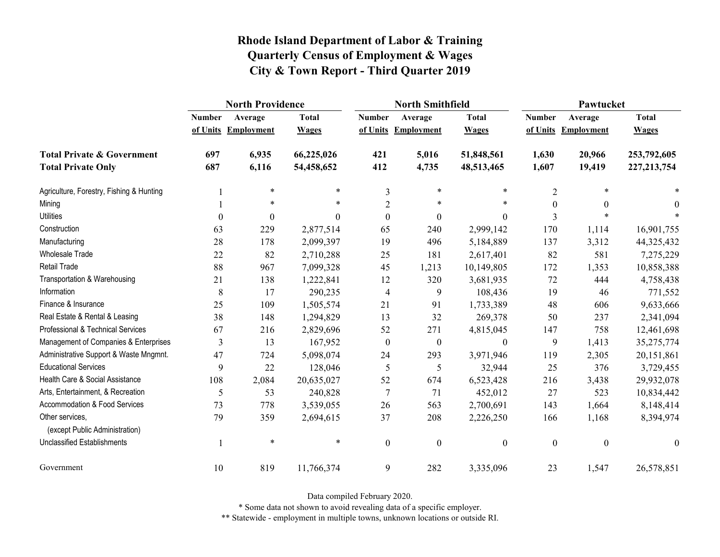|                                                   | <b>North Providence</b> |                     |              |                  | <b>North Smithfield</b> |                  | Pawtucket     |                     |               |
|---------------------------------------------------|-------------------------|---------------------|--------------|------------------|-------------------------|------------------|---------------|---------------------|---------------|
|                                                   | <b>Number</b>           | Average             | <b>Total</b> | <b>Number</b>    | Average                 | <b>Total</b>     | <b>Number</b> | Average             | <b>Total</b>  |
|                                                   |                         | of Units Employment | <b>Wages</b> |                  | of Units Employment     | <b>Wages</b>     |               | of Units Employment | <b>Wages</b>  |
| <b>Total Private &amp; Government</b>             | 697                     | 6,935               | 66,225,026   | 421              | 5,016                   | 51,848,561       | 1,630         | 20,966              | 253,792,605   |
| <b>Total Private Only</b>                         | 687                     | 6,116               | 54,458,652   | 412              | 4,735                   | 48,513,465       | 1,607         | 19,419              | 227, 213, 754 |
| Agriculture, Forestry, Fishing & Hunting          |                         | $\ast$              | $\ast$       | 3                | $\ast$                  | $\ast$           | $\mathbf{2}$  | $\ast$              |               |
| Mining                                            |                         | $\ast$              | *            | $\overline{2}$   | $\ast$                  | $\ast$           | $\Omega$      | $\Omega$            | $\theta$      |
| <b>Utilities</b>                                  | $\boldsymbol{0}$        | $\boldsymbol{0}$    | $\theta$     | $\boldsymbol{0}$ | $\boldsymbol{0}$        | $\boldsymbol{0}$ | 3             |                     |               |
| Construction                                      | 63                      | 229                 | 2,877,514    | 65               | 240                     | 2,999,142        | 170           | 1,114               | 16,901,755    |
| Manufacturing                                     | 28                      | 178                 | 2,099,397    | 19               | 496                     | 5,184,889        | 137           | 3,312               | 44,325,432    |
| Wholesale Trade                                   | 22                      | 82                  | 2,710,288    | 25               | 181                     | 2,617,401        | 82            | 581                 | 7,275,229     |
| Retail Trade                                      | 88                      | 967                 | 7,099,328    | 45               | 1,213                   | 10,149,805       | 172           | 1,353               | 10,858,388    |
| Transportation & Warehousing                      | 21                      | 138                 | 1,222,841    | 12               | 320                     | 3,681,935        | 72            | 444                 | 4,758,438     |
| Information                                       | 8                       | 17                  | 290,235      | 4                | 9                       | 108,436          | 19            | 46                  | 771,552       |
| Finance & Insurance                               | 25                      | 109                 | 1,505,574    | 21               | 91                      | 1,733,389        | 48            | 606                 | 9,633,666     |
| Real Estate & Rental & Leasing                    | 38                      | 148                 | 1,294,829    | 13               | 32                      | 269,378          | 50            | 237                 | 2,341,094     |
| Professional & Technical Services                 | 67                      | 216                 | 2,829,696    | 52               | 271                     | 4,815,045        | 147           | 758                 | 12,461,698    |
| Management of Companies & Enterprises             | 3                       | 13                  | 167,952      | $\boldsymbol{0}$ | $\boldsymbol{0}$        | $\boldsymbol{0}$ | 9             | 1,413               | 35,275,774    |
| Administrative Support & Waste Mngmnt.            | 47                      | 724                 | 5,098,074    | 24               | 293                     | 3,971,946        | 119           | 2,305               | 20,151,861    |
| <b>Educational Services</b>                       | 9                       | 22                  | 128,046      | 5                | 5                       | 32,944           | 25            | 376                 | 3,729,455     |
| Health Care & Social Assistance                   | 108                     | 2,084               | 20,635,027   | 52               | 674                     | 6,523,428        | 216           | 3,438               | 29,932,078    |
| Arts, Entertainment, & Recreation                 | 5                       | 53                  | 240,828      | $\overline{7}$   | 71                      | 452,012          | 27            | 523                 | 10,834,442    |
| Accommodation & Food Services                     | 73                      | 778                 | 3,539,055    | 26               | 563                     | 2,700,691        | 143           | 1,664               | 8,148,414     |
| Other services,<br>(except Public Administration) | 79                      | 359                 | 2,694,615    | 37               | 208                     | 2,226,250        | 166           | 1,168               | 8,394,974     |
| <b>Unclassified Establishments</b>                |                         | $\ast$              | $\ast$       | $\boldsymbol{0}$ | $\boldsymbol{0}$        | $\boldsymbol{0}$ | $\mathbf{0}$  | $\boldsymbol{0}$    | $\mathbf{0}$  |
| Government                                        | 10                      | 819                 | 11,766,374   | 9                | 282                     | 3,335,096        | 23            | 1,547               | 26,578,851    |

Data compiled February 2020.

\* Some data not shown to avoid revealing data of a specific employer.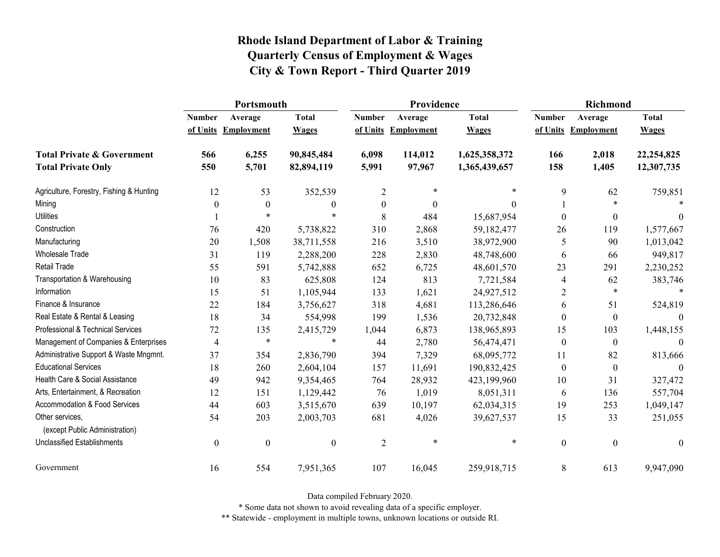|                                                   | Portsmouth     |                     |                  |                  | Providence          |               | Richmond         |                     |                  |
|---------------------------------------------------|----------------|---------------------|------------------|------------------|---------------------|---------------|------------------|---------------------|------------------|
|                                                   | <b>Number</b>  | Average             | <b>Total</b>     | <b>Number</b>    | Average             | <b>Total</b>  | <b>Number</b>    | Average             | <b>Total</b>     |
|                                                   |                | of Units Employment | <b>Wages</b>     |                  | of Units Employment | <b>Wages</b>  |                  | of Units Employment | <b>Wages</b>     |
| <b>Total Private &amp; Government</b>             | 566            | 6,255               | 90,845,484       | 6,098            | 114,012             | 1,625,358,372 | 166              | 2,018               | 22,254,825       |
| <b>Total Private Only</b>                         | 550            | 5,701               | 82,894,119       | 5,991            | 97,967              | 1,365,439,657 | 158              | 1,405               | 12,307,735       |
| Agriculture, Forestry, Fishing & Hunting          | 12             | 53                  | 352,539          | $\overline{2}$   | $\ast$              | *             | 9                | 62                  | 759,851          |
| Mining                                            | $\theta$       | $\boldsymbol{0}$    | $\boldsymbol{0}$ | $\boldsymbol{0}$ | $\Omega$            | $\Omega$      |                  | $\ast$              |                  |
| <b>Utilities</b>                                  |                |                     |                  | 8                | 484                 | 15,687,954    | $\theta$         | $\boldsymbol{0}$    | $\theta$         |
| Construction                                      | 76             | 420                 | 5,738,822        | 310              | 2,868               | 59,182,477    | 26               | 119                 | 1,577,667        |
| Manufacturing                                     | 20             | 1,508               | 38,711,558       | 216              | 3,510               | 38,972,900    | 5                | 90                  | 1,013,042        |
| <b>Wholesale Trade</b>                            | 31             | 119                 | 2,288,200        | 228              | 2,830               | 48,748,600    | 6                | 66                  | 949,817          |
| Retail Trade                                      | 55             | 591                 | 5,742,888        | 652              | 6,725               | 48,601,570    | 23               | 291                 | 2,230,252        |
| Transportation & Warehousing                      | 10             | 83                  | 625,808          | 124              | 813                 | 7,721,584     | 4                | 62                  | 383,746          |
| Information                                       | 15             | 51                  | 1,105,944        | 133              | 1,621               | 24,927,512    | 2                | $\ast$              |                  |
| Finance & Insurance                               | 22             | 184                 | 3,756,627        | 318              | 4,681               | 113,286,646   | 6                | 51                  | 524,819          |
| Real Estate & Rental & Leasing                    | 18             | 34                  | 554,998          | 199              | 1,536               | 20,732,848    | $\theta$         | $\boldsymbol{0}$    | $\Omega$         |
| Professional & Technical Services                 | 72             | 135                 | 2,415,729        | 1,044            | 6,873               | 138,965,893   | 15               | 103                 | 1,448,155        |
| Management of Companies & Enterprises             | 4              | $\ast$              | $\ast$           | 44               | 2,780               | 56,474,471    | $\boldsymbol{0}$ | $\boldsymbol{0}$    | $\theta$         |
| Administrative Support & Waste Mngmnt.            | 37             | 354                 | 2,836,790        | 394              | 7,329               | 68,095,772    | 11               | 82                  | 813,666          |
| <b>Educational Services</b>                       | 18             | 260                 | 2,604,104        | 157              | 11,691              | 190,832,425   | $\overline{0}$   | $\boldsymbol{0}$    | $\Omega$         |
| Health Care & Social Assistance                   | 49             | 942                 | 9,354,465        | 764              | 28,932              | 423,199,960   | 10               | 31                  | 327,472          |
| Arts, Entertainment, & Recreation                 | 12             | 151                 | 1,129,442        | 76               | 1,019               | 8,051,311     | 6                | 136                 | 557,704          |
| Accommodation & Food Services                     | 44             | 603                 | 3,515,670        | 639              | 10,197              | 62,034,315    | 19               | 253                 | 1,049,147        |
| Other services,<br>(except Public Administration) | 54             | 203                 | 2,003,703        | 681              | 4,026               | 39,627,537    | 15               | 33                  | 251,055          |
| <b>Unclassified Establishments</b>                | $\overline{0}$ | $\boldsymbol{0}$    | $\boldsymbol{0}$ | $\overline{2}$   | $\ast$              | $\ast$        | $\boldsymbol{0}$ | $\boldsymbol{0}$    | $\boldsymbol{0}$ |
| Government                                        | 16             | 554                 | 7,951,365        | 107              | 16,045              | 259,918,715   | 8                | 613                 | 9,947,090        |

Data compiled February 2020.

\* Some data not shown to avoid revealing data of a specific employer.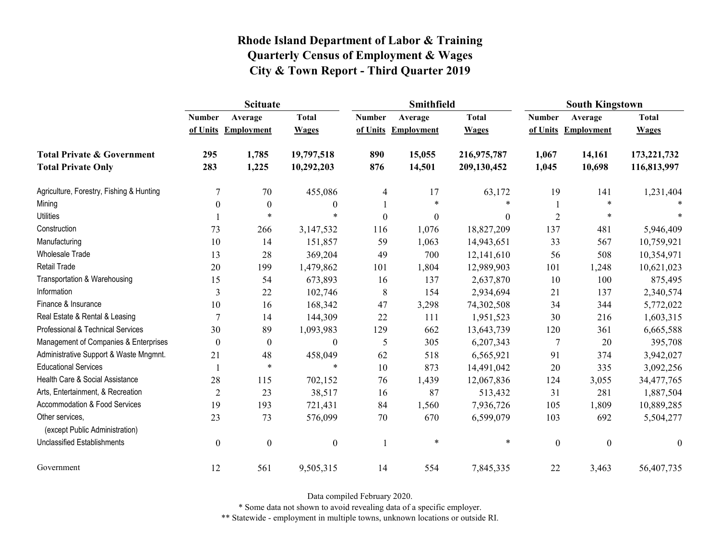|                                                   | <b>Scituate</b>  |                     |                  |                  | Smithfield        |                  | <b>South Kingstown</b> |                     |                  |
|---------------------------------------------------|------------------|---------------------|------------------|------------------|-------------------|------------------|------------------------|---------------------|------------------|
|                                                   | <b>Number</b>    | Average             | <b>Total</b>     | <b>Number</b>    | Average           | <b>Total</b>     | <b>Number</b>          | Average             | <b>Total</b>     |
|                                                   |                  | of Units Employment | <b>Wages</b>     | of Units         | <b>Employment</b> | <b>Wages</b>     |                        | of Units Employment | <b>Wages</b>     |
| <b>Total Private &amp; Government</b>             | 295              | 1,785               | 19,797,518       | 890              | 15,055            | 216,975,787      | 1,067                  | 14,161              | 173, 221, 732    |
| <b>Total Private Only</b>                         | 283              | 1,225               | 10,292,203       | 876              | 14,501            | 209,130,452      | 1,045                  | 10,698              | 116,813,997      |
| Agriculture, Forestry, Fishing & Hunting          | 7                | 70                  | 455,086          | 4                | 17                | 63,172           | 19                     | 141                 | 1,231,404        |
| Mining                                            | $\Omega$         | $\mathbf{0}$        | $\boldsymbol{0}$ |                  | $\ast$            | $\ast$           |                        | $\ast$              |                  |
| <b>Utilities</b>                                  |                  | $\ast$              | $\ast$           | $\boldsymbol{0}$ | $\boldsymbol{0}$  | $\boldsymbol{0}$ | $\overline{2}$         | $\ast$              |                  |
| Construction                                      | 73               | 266                 | 3,147,532        | 116              | 1,076             | 18,827,209       | 137                    | 481                 | 5,946,409        |
| Manufacturing                                     | 10               | 14                  | 151,857          | 59               | 1,063             | 14,943,651       | 33                     | 567                 | 10,759,921       |
| <b>Wholesale Trade</b>                            | 13               | 28                  | 369,204          | 49               | 700               | 12,141,610       | 56                     | 508                 | 10,354,971       |
| <b>Retail Trade</b>                               | 20               | 199                 | 1,479,862        | 101              | 1,804             | 12,989,903       | 101                    | 1,248               | 10,621,023       |
| Transportation & Warehousing                      | 15               | 54                  | 673,893          | 16               | 137               | 2,637,870        | 10                     | 100                 | 875,495          |
| Information                                       | 3                | 22                  | 102,746          | $\,8\,$          | 154               | 2,934,694        | 21                     | 137                 | 2,340,574        |
| Finance & Insurance                               | 10               | 16                  | 168,342          | 47               | 3,298             | 74,302,508       | 34                     | 344                 | 5,772,022        |
| Real Estate & Rental & Leasing                    | 7                | 14                  | 144,309          | 22               | 111               | 1,951,523        | 30                     | 216                 | 1,603,315        |
| Professional & Technical Services                 | 30               | 89                  | 1,093,983        | 129              | 662               | 13,643,739       | 120                    | 361                 | 6,665,588        |
| Management of Companies & Enterprises             | $\Omega$         | $\mathbf{0}$        | $\boldsymbol{0}$ | 5                | 305               | 6,207,343        | 7                      | 20                  | 395,708          |
| Administrative Support & Waste Mngmnt.            | 21               | 48                  | 458,049          | 62               | 518               | 6,565,921        | 91                     | 374                 | 3,942,027        |
| <b>Educational Services</b>                       |                  | $\ast$              | $\ast$           | 10               | 873               | 14,491,042       | 20                     | 335                 | 3,092,256        |
| Health Care & Social Assistance                   | 28               | 115                 | 702,152          | 76               | 1,439             | 12,067,836       | 124                    | 3,055               | 34,477,765       |
| Arts, Entertainment, & Recreation                 | $\overline{2}$   | 23                  | 38,517           | 16               | 87                | 513,432          | 31                     | 281                 | 1,887,504        |
| Accommodation & Food Services                     | 19               | 193                 | 721,431          | 84               | 1,560             | 7,936,726        | 105                    | 1,809               | 10,889,285       |
| Other services,<br>(except Public Administration) | 23               | 73                  | 576,099          | 70               | 670               | 6,599,079        | 103                    | 692                 | 5,504,277        |
| <b>Unclassified Establishments</b>                | $\boldsymbol{0}$ | $\boldsymbol{0}$    | $\boldsymbol{0}$ |                  | $\ast$            | $\ast$           | $\boldsymbol{0}$       | $\boldsymbol{0}$    | $\boldsymbol{0}$ |
| Government                                        | 12               | 561                 | 9,505,315        | 14               | 554               | 7,845,335        | 22                     | 3,463               | 56,407,735       |

Data compiled February 2020.

\* Some data not shown to avoid revealing data of a specific employer.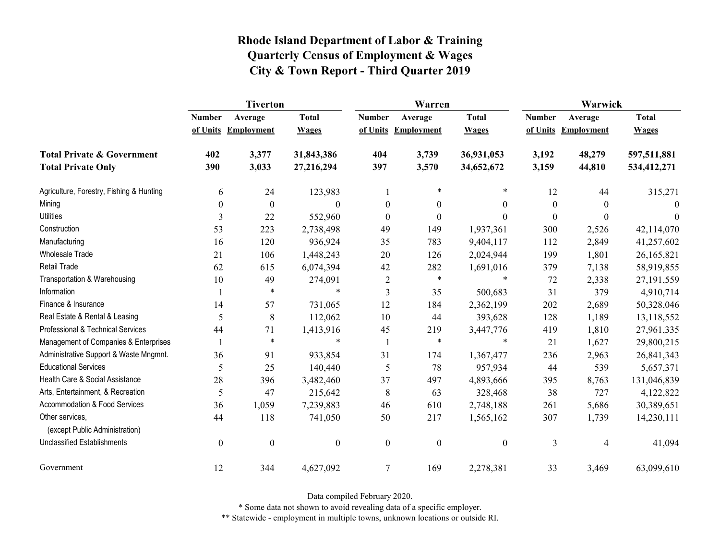|                                                   | <b>Tiverton</b>  |                     |                  |                  | Warren              |                  | Warwick       |                     |              |
|---------------------------------------------------|------------------|---------------------|------------------|------------------|---------------------|------------------|---------------|---------------------|--------------|
|                                                   | <b>Number</b>    | Average             | <b>Total</b>     | <b>Number</b>    | Average             | <b>Total</b>     | <b>Number</b> | Average             | <b>Total</b> |
|                                                   |                  | of Units Employment | <b>Wages</b>     |                  | of Units Employment | <b>Wages</b>     |               | of Units Employment | <b>Wages</b> |
| <b>Total Private &amp; Government</b>             | 402              | 3,377               | 31,843,386       | 404              | 3,739               | 36,931,053       | 3,192         | 48,279              | 597,511,881  |
| <b>Total Private Only</b>                         | 390              | 3,033               | 27,216,294       | 397              | 3,570               | 34,652,672       | 3,159         | 44,810              | 534,412,271  |
| Agriculture, Forestry, Fishing & Hunting          | 6                | 24                  | 123,983          | 1                | $\ast$              | *                | 12            | 44                  | 315,271      |
| Mining                                            | $\boldsymbol{0}$ | $\boldsymbol{0}$    | $\Omega$         | $\boldsymbol{0}$ | $\boldsymbol{0}$    | $\boldsymbol{0}$ | $\theta$      | $\theta$            | $\theta$     |
| <b>Utilities</b>                                  | 3                | 22                  | 552,960          | $\mathbf{0}$     | $\mathbf{0}$        | $\theta$         | $\Omega$      | $\theta$            | $\theta$     |
| Construction                                      | 53               | 223                 | 2,738,498        | 49               | 149                 | 1,937,361        | 300           | 2,526               | 42,114,070   |
| Manufacturing                                     | 16               | 120                 | 936,924          | 35               | 783                 | 9,404,117        | 112           | 2,849               | 41,257,602   |
| <b>Wholesale Trade</b>                            | 21               | 106                 | 1,448,243        | 20               | 126                 | 2,024,944        | 199           | 1,801               | 26,165,821   |
| <b>Retail Trade</b>                               | 62               | 615                 | 6,074,394        | 42               | 282                 | 1,691,016        | 379           | 7,138               | 58,919,855   |
| Transportation & Warehousing                      | 10               | 49                  | 274,091          | $\overline{2}$   | $\ast$              | $\ast$           | 72            | 2,338               | 27,191,559   |
| Information                                       |                  | $\ast$              | $\ast$           | 3                | 35                  | 500,683          | 31            | 379                 | 4,910,714    |
| Finance & Insurance                               | 14               | 57                  | 731,065          | 12               | 184                 | 2,362,199        | 202           | 2,689               | 50,328,046   |
| Real Estate & Rental & Leasing                    | 5                | 8                   | 112,062          | 10               | 44                  | 393,628          | 128           | 1,189               | 13,118,552   |
| Professional & Technical Services                 | 44               | 71                  | 1,413,916        | 45               | 219                 | 3,447,776        | 419           | 1,810               | 27,961,335   |
| Management of Companies & Enterprises             |                  | $\ast$              | $\ast$           |                  | $\ast$              | $\ast$           | 21            | 1,627               | 29,800,215   |
| Administrative Support & Waste Mngmnt.            | 36               | 91                  | 933,854          | 31               | 174                 | 1,367,477        | 236           | 2,963               | 26,841,343   |
| <b>Educational Services</b>                       | 5                | 25                  | 140,440          | 5                | 78                  | 957,934          | 44            | 539                 | 5,657,371    |
| Health Care & Social Assistance                   | 28               | 396                 | 3,482,460        | 37               | 497                 | 4,893,666        | 395           | 8,763               | 131,046,839  |
| Arts, Entertainment, & Recreation                 | 5                | 47                  | 215,642          | 8                | 63                  | 328,468          | 38            | 727                 | 4,122,822    |
| Accommodation & Food Services                     | 36               | 1,059               | 7,239,883        | 46               | 610                 | 2,748,188        | 261           | 5,686               | 30,389,651   |
| Other services,<br>(except Public Administration) | 44               | 118                 | 741,050          | 50               | 217                 | 1,565,162        | 307           | 1,739               | 14,230,111   |
| <b>Unclassified Establishments</b>                | $\boldsymbol{0}$ | $\boldsymbol{0}$    | $\boldsymbol{0}$ | $\boldsymbol{0}$ | $\boldsymbol{0}$    | $\boldsymbol{0}$ | 3             | 4                   | 41,094       |
| Government                                        | 12               | 344                 | 4,627,092        | $\tau$           | 169                 | 2,278,381        | 33            | 3,469               | 63,099,610   |

Data compiled February 2020.

\* Some data not shown to avoid revealing data of a specific employer.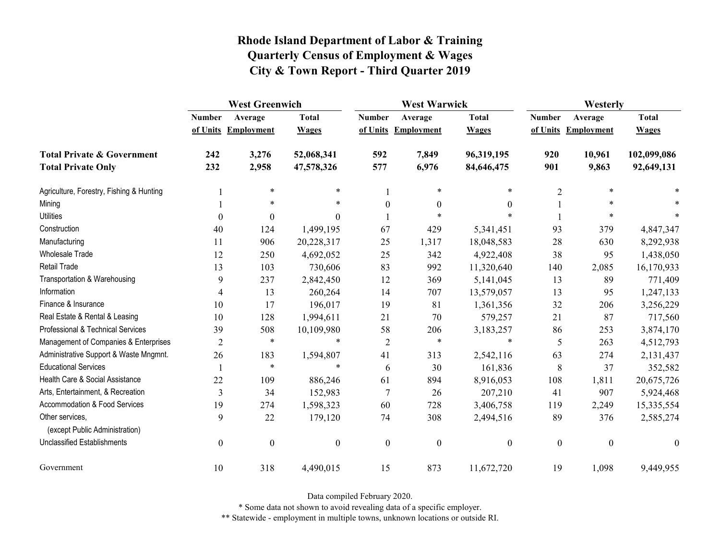|                                                   | <b>West Greenwich</b> |                     |                  |                  | <b>West Warwick</b> |                  |                  | Westerly            |              |  |
|---------------------------------------------------|-----------------------|---------------------|------------------|------------------|---------------------|------------------|------------------|---------------------|--------------|--|
|                                                   | <b>Number</b>         | Average             | <b>Total</b>     | <b>Number</b>    | Average             | <b>Total</b>     | <b>Number</b>    | Average             | <b>Total</b> |  |
|                                                   |                       | of Units Employment | <b>Wages</b>     |                  | of Units Employment | <b>Wages</b>     |                  | of Units Employment | <b>Wages</b> |  |
| <b>Total Private &amp; Government</b>             | 242                   | 3,276               | 52,068,341       | 592              | 7,849               | 96,319,195       | 920              | 10,961              | 102,099,086  |  |
| <b>Total Private Only</b>                         | 232                   | 2,958               | 47,578,326       | 577              | 6,976               | 84,646,475       | 901              | 9,863               | 92,649,131   |  |
| Agriculture, Forestry, Fishing & Hunting          |                       | $\ast$              | $\ast$           |                  | $\ast$              | $\ast$           | $\overline{2}$   | $\ast$              |              |  |
| Mining                                            |                       | $\ast$              | *                | $\boldsymbol{0}$ | $\mathbf{0}$        | $\theta$         |                  |                     |              |  |
| <b>Utilities</b>                                  | $\boldsymbol{0}$      | $\boldsymbol{0}$    | $\theta$         |                  | *                   | $\ast$           |                  | $\ast$              |              |  |
| Construction                                      | 40                    | 124                 | 1,499,195        | 67               | 429                 | 5,341,451        | 93               | 379                 | 4,847,347    |  |
| Manufacturing                                     | 11                    | 906                 | 20,228,317       | 25               | 1,317               | 18,048,583       | 28               | 630                 | 8,292,938    |  |
| <b>Wholesale Trade</b>                            | 12                    | 250                 | 4,692,052        | 25               | 342                 | 4,922,408        | 38               | 95                  | 1,438,050    |  |
| <b>Retail Trade</b>                               | 13                    | 103                 | 730,606          | 83               | 992                 | 11,320,640       | 140              | 2,085               | 16,170,933   |  |
| Transportation & Warehousing                      | 9                     | 237                 | 2,842,450        | 12               | 369                 | 5,141,045        | 13               | 89                  | 771,409      |  |
| Information                                       | 4                     | 13                  | 260,264          | 14               | 707                 | 13,579,057       | 13               | 95                  | 1,247,133    |  |
| Finance & Insurance                               | 10                    | 17                  | 196,017          | 19               | 81                  | 1,361,356        | 32               | 206                 | 3,256,229    |  |
| Real Estate & Rental & Leasing                    | 10                    | 128                 | 1,994,611        | 21               | 70                  | 579,257          | 21               | 87                  | 717,560      |  |
| Professional & Technical Services                 | 39                    | 508                 | 10,109,980       | 58               | 206                 | 3,183,257        | 86               | 253                 | 3,874,170    |  |
| Management of Companies & Enterprises             | $\overline{2}$        | $\ast$              | $\ast$           | $\overline{2}$   | $\ast$              | $\ast$           | 5                | 263                 | 4,512,793    |  |
| Administrative Support & Waste Mngmnt.            | 26                    | 183                 | 1,594,807        | 41               | 313                 | 2,542,116        | 63               | 274                 | 2,131,437    |  |
| <b>Educational Services</b>                       |                       | $\ast$              | $\ast$           | 6                | 30                  | 161,836          | 8                | 37                  | 352,582      |  |
| Health Care & Social Assistance                   | 22                    | 109                 | 886,246          | 61               | 894                 | 8,916,053        | 108              | 1,811               | 20,675,726   |  |
| Arts, Entertainment, & Recreation                 | 3                     | 34                  | 152,983          | $\tau$           | 26                  | 207,210          | 41               | 907                 | 5,924,468    |  |
| Accommodation & Food Services                     | 19                    | 274                 | 1,598,323        | 60               | 728                 | 3,406,758        | 119              | 2,249               | 15,335,554   |  |
| Other services,<br>(except Public Administration) | 9                     | 22                  | 179,120          | 74               | 308                 | 2,494,516        | 89               | 376                 | 2,585,274    |  |
| <b>Unclassified Establishments</b>                | $\boldsymbol{0}$      | $\boldsymbol{0}$    | $\boldsymbol{0}$ | $\boldsymbol{0}$ | $\boldsymbol{0}$    | $\boldsymbol{0}$ | $\boldsymbol{0}$ | $\boldsymbol{0}$    | $\theta$     |  |
| Government                                        | 10                    | 318                 | 4,490,015        | 15               | 873                 | 11,672,720       | 19               | 1,098               | 9,449,955    |  |

Data compiled February 2020.

\* Some data not shown to avoid revealing data of a specific employer.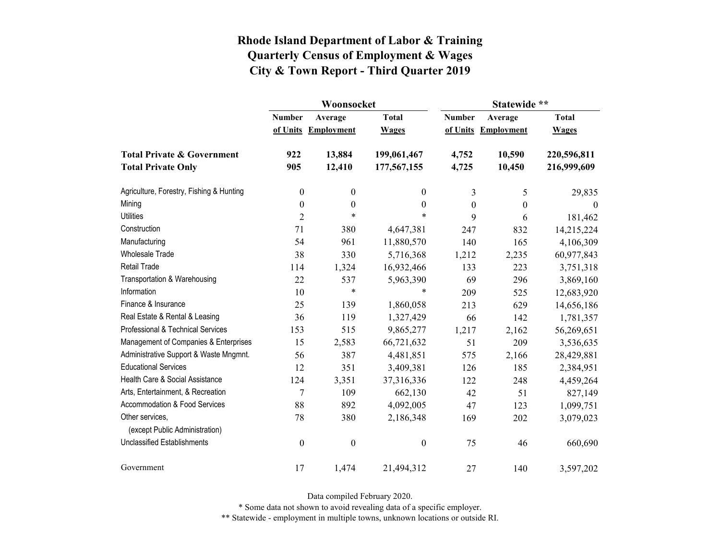|                                                   |                  | Woonsocket        |                  | Statewide **     |                   |              |  |
|---------------------------------------------------|------------------|-------------------|------------------|------------------|-------------------|--------------|--|
|                                                   | <b>Number</b>    | Average           | <b>Total</b>     | <b>Number</b>    | Average           | <b>Total</b> |  |
|                                                   | of Units         | <b>Employment</b> | <b>Wages</b>     | of Units         | <b>Employment</b> | <b>Wages</b> |  |
| <b>Total Private &amp; Government</b>             | 922              | 13,884            | 199,061,467      | 4,752            | 10,590            | 220,596,811  |  |
| <b>Total Private Only</b>                         | 905              | 12,410            | 177,567,155      | 4,725            | 10,450            | 216,999,609  |  |
| Agriculture, Forestry, Fishing & Hunting          | $\boldsymbol{0}$ | $\boldsymbol{0}$  | $\boldsymbol{0}$ | 3                | 5                 | 29,835       |  |
| Mining                                            | $\boldsymbol{0}$ | $\boldsymbol{0}$  | $\boldsymbol{0}$ | $\boldsymbol{0}$ | $\boldsymbol{0}$  | $\theta$     |  |
| <b>Utilities</b>                                  | $\overline{2}$   | $\ast$            | $\ast$           | 9                | 6                 | 181,462      |  |
| Construction                                      | 71               | 380               | 4,647,381        | 247              | 832               | 14,215,224   |  |
| Manufacturing                                     | 54               | 961               | 11,880,570       | 140              | 165               | 4,106,309    |  |
| <b>Wholesale Trade</b>                            | 38               | 330               | 5,716,368        | 1,212            | 2,235             | 60,977,843   |  |
| <b>Retail Trade</b>                               | 114              | 1,324             | 16,932,466       | 133              | 223               | 3,751,318    |  |
| Transportation & Warehousing                      | 22               | 537               | 5,963,390        | 69               | 296               | 3,869,160    |  |
| Information                                       | 10               | $\ast$            | $\ast$           | 209              | 525               | 12,683,920   |  |
| Finance & Insurance                               | 25               | 139               | 1,860,058        | 213              | 629               | 14,656,186   |  |
| Real Estate & Rental & Leasing                    | 36               | 119               | 1,327,429        | 66               | 142               | 1,781,357    |  |
| Professional & Technical Services                 | 153              | 515               | 9,865,277        | 1,217            | 2,162             | 56,269,651   |  |
| Management of Companies & Enterprises             | 15               | 2,583             | 66,721,632       | 51               | 209               | 3,536,635    |  |
| Administrative Support & Waste Mngmnt.            | 56               | 387               | 4,481,851        | 575              | 2,166             | 28,429,881   |  |
| <b>Educational Services</b>                       | 12               | 351               | 3,409,381        | 126              | 185               | 2,384,951    |  |
| Health Care & Social Assistance                   | 124              | 3,351             | 37,316,336       | 122              | 248               | 4,459,264    |  |
| Arts, Entertainment, & Recreation                 | $\overline{7}$   | 109               | 662,130          | 42               | 51                | 827,149      |  |
| Accommodation & Food Services                     | 88               | 892               | 4,092,005        | 47               | 123               | 1,099,751    |  |
| Other services,<br>(except Public Administration) | 78               | 380               | 2,186,348        | 169              | 202               | 3,079,023    |  |
| <b>Unclassified Establishments</b>                | $\boldsymbol{0}$ | $\boldsymbol{0}$  | $\boldsymbol{0}$ | 75               | 46                | 660,690      |  |
| Government                                        | 17               | 1,474             | 21,494,312       | 27               | 140               | 3,597,202    |  |

Data compiled February 2020.

\* Some data not shown to avoid revealing data of a specific employer.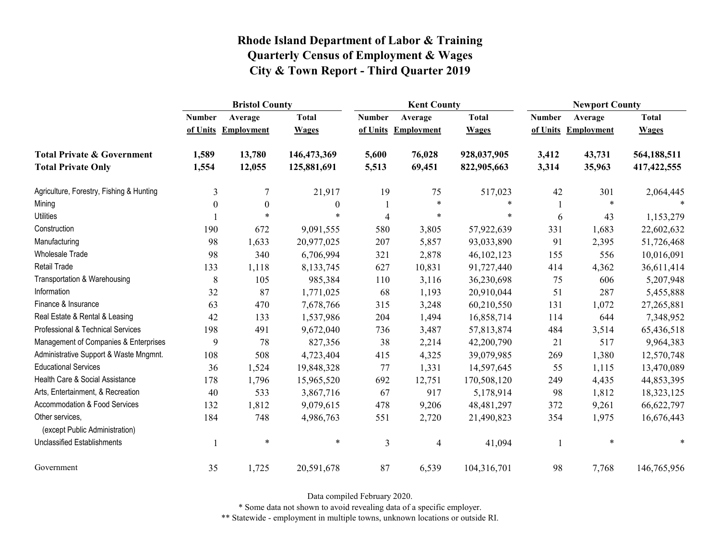|                                                   | <b>Bristol County</b>    |                   |              |               | <b>Kent County</b> |              |               | <b>Newport County</b> |               |  |
|---------------------------------------------------|--------------------------|-------------------|--------------|---------------|--------------------|--------------|---------------|-----------------------|---------------|--|
|                                                   | <b>Number</b>            | Average           | <b>Total</b> | <b>Number</b> | Average            | <b>Total</b> | <b>Number</b> | Average               | <b>Total</b>  |  |
|                                                   | of Units                 | <b>Employment</b> | <b>Wages</b> | of Units      | Employment         | <b>Wages</b> | of Units      | <b>Employment</b>     | <b>Wages</b>  |  |
| <b>Total Private &amp; Government</b>             | 1,589                    | 13,780            | 146,473,369  | 5,600         | 76,028             | 928,037,905  | 3,412         | 43,731                | 564,188,511   |  |
| <b>Total Private Only</b>                         | 1,554                    | 12,055            | 125,881,691  | 5,513         | 69,451             | 822,905,663  | 3,314         | 35,963                | 417, 422, 555 |  |
| Agriculture, Forestry, Fishing & Hunting          | 3                        | 7                 | 21,917       | 19            | 75                 | 517,023      | 42            | 301                   | 2,064,445     |  |
| Mining                                            | $\mathbf{0}$             | $\boldsymbol{0}$  | $\theta$     |               | $\star$            | $\ast$       |               | $\ast$                |               |  |
| <b>Utilities</b>                                  |                          | $\ast$            | $\ast$       | 4             | $\ast$             | *            | 6             | 43                    | 1,153,279     |  |
| Construction                                      | 190                      | 672               | 9,091,555    | 580           | 3,805              | 57,922,639   | 331           | 1,683                 | 22,602,632    |  |
| Manufacturing                                     | 98                       | 1,633             | 20,977,025   | 207           | 5,857              | 93,033,890   | 91            | 2,395                 | 51,726,468    |  |
| Wholesale Trade                                   | 98                       | 340               | 6,706,994    | 321           | 2,878              | 46,102,123   | 155           | 556                   | 10,016,091    |  |
| <b>Retail Trade</b>                               | 133                      | 1,118             | 8,133,745    | 627           | 10,831             | 91,727,440   | 414           | 4,362                 | 36,611,414    |  |
| Transportation & Warehousing                      | 8                        | 105               | 985,384      | 110           | 3,116              | 36,230,698   | 75            | 606                   | 5,207,948     |  |
| Information                                       | 32                       | 87                | 1,771,025    | 68            | 1,193              | 20,910,044   | 51            | 287                   | 5,455,888     |  |
| Finance & Insurance                               | 63                       | 470               | 7,678,766    | 315           | 3,248              | 60,210,550   | 131           | 1,072                 | 27,265,881    |  |
| Real Estate & Rental & Leasing                    | 42                       | 133               | 1,537,986    | 204           | 1,494              | 16,858,714   | 114           | 644                   | 7,348,952     |  |
| Professional & Technical Services                 | 198                      | 491               | 9,672,040    | 736           | 3,487              | 57,813,874   | 484           | 3,514                 | 65,436,518    |  |
| Management of Companies & Enterprises             | 9                        | 78                | 827,356      | 38            | 2,214              | 42,200,790   | 21            | 517                   | 9,964,383     |  |
| Administrative Support & Waste Mngmnt.            | 108                      | 508               | 4,723,404    | 415           | 4,325              | 39,079,985   | 269           | 1,380                 | 12,570,748    |  |
| <b>Educational Services</b>                       | 36                       | 1,524             | 19,848,328   | 77            | 1,331              | 14,597,645   | 55            | 1,115                 | 13,470,089    |  |
| Health Care & Social Assistance                   | 178                      | 1,796             | 15,965,520   | 692           | 12,751             | 170,508,120  | 249           | 4,435                 | 44,853,395    |  |
| Arts, Entertainment, & Recreation                 | 40                       | 533               | 3,867,716    | 67            | 917                | 5,178,914    | 98            | 1,812                 | 18,323,125    |  |
| Accommodation & Food Services                     | 132                      | 1,812             | 9,079,615    | 478           | 9,206              | 48, 481, 297 | 372           | 9,261                 | 66,622,797    |  |
| Other services,<br>(except Public Administration) | 184                      | 748               | 4,986,763    | 551           | 2,720              | 21,490,823   | 354           | 1,975                 | 16,676,443    |  |
| <b>Unclassified Establishments</b>                | $\overline{\phantom{a}}$ | $\ast$            | $\ast$       | 3             | $\overline{4}$     | 41,094       |               | $\ast$                | $\ast$        |  |
| Government                                        | 35                       | 1,725             | 20,591,678   | 87            | 6,539              | 104,316,701  | 98            | 7,768                 | 146,765,956   |  |

Data compiled February 2020.

\* Some data not shown to avoid revealing data of a specific employer.